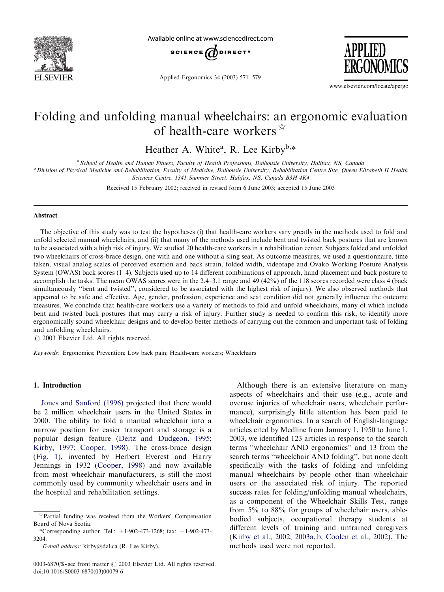

Available online at www.sciencedirect.com



Applied Ergonomics 34 (2003) 571–579



www.elsevier.com/locate/apergo

## Folding and unfolding manual wheelchairs: an ergonomic evaluation of health-care workers  $\overrightarrow{x}$

Heather A. White<sup>a</sup>, R. Lee Kirby<sup>b,\*</sup>

a School of Health and Human Fitness, Faculty of Health Professions, Dalhousie University, Halifax, NS, Canada

<sup>b</sup> Division of Physical Medicine and Rehabilitation, Faculty of Medicine, Dalhousie University, Rehabilitation Centre Site, Queen Elizabeth II Health Sciences Centre, 1341 Summer Street, Halifax, NS, Canada B3H 4K4

Received 15 February 2002; received in revised form 6 June 2003; accepted 15 June 2003

#### Abstract

The objective of this study was to test the hypotheses (i) that health-care workers vary greatly in the methods used to fold and unfold selected manual wheelchairs, and (ii) that many of the methods used include bent and twisted back postures that are known to be associated with a high risk of injury. We studied 20 health-care workers in a rehabilitation center. Subjects folded and unfolded two wheelchairs of cross-brace design, one with and one without a sling seat. As outcome measures, we used a questionnaire, time taken, visual analog scales of perceived exertion and back strain, folded width, videotape and Ovako Working Posture Analysis System (OWAS) back scores (1–4). Subjects used up to 14 different combinations of approach, hand placement and back posture to accomplish the tasks. The mean OWAS scores were in the 2.4–3.1 range and 49 (42%) of the 118 scores recorded were class 4 (back simultaneously ''bent and twisted'', considered to be associated with the highest risk of injury). We also observed methods that appeared to be safe and effective. Age, gender, profession, experience and seat condition did not generally influence the outcome measures. We conclude that health-care workers use a variety of methods to fold and unfold wheelchairs, many of which include bent and twisted back postures that may carry a risk of injury. Further study is needed to confirm this risk, to identify more ergonomically sound wheelchair designs and to develop better methods of carrying out the common and important task of folding and unfolding wheelchairs.

 $\odot$  2003 Elsevier Ltd. All rights reserved.

Keywords: Ergonomics; Prevention; Low back pain; Health-care workers; Wheelchairs

#### 1. Introduction

[Jones and Sanford \(1996\)](#page--1-0) projected that there would be 2 million wheelchair users in the United States in 2000. The ability to fold a manual wheelchair into a narrow position for easier transport and storage is a popular design feature [\(Deitz and Dudgeon, 1995](#page--1-0); [Kirby, 1997;](#page--1-0) [Cooper, 1998](#page--1-0)). The cross-brace design [\(Fig. 1\)](#page-1-0), invented by Herbert Everest and Harry Jennings in 1932 ([Cooper, 1998\)](#page--1-0) and now available from most wheelchair manufacturers, is still the most commonly used by community wheelchair users and in the hospital and rehabilitation settings.

0003-6870/\$ - see front matter  $\odot$  2003 Elsevier Ltd. All rights reserved. doi:10.1016/S0003-6870(03)00079-6

Although there is an extensive literature on many aspects of wheelchairs and their use (e.g., acute and overuse injuries of wheelchair users, wheelchair performance), surprisingly little attention has been paid to wheelchair ergonomics. In a search of English-language articles cited by Medline from January 1, 1950 to June 1, 2003, we identified 123 articles in response to the search terms ''wheelchair AND ergonomics'' and 13 from the search terms ''wheelchair AND folding'', but none dealt specifically with the tasks of folding and unfolding manual wheelchairs by people other than wheelchair users or the associated risk of injury. The reported success rates for folding/unfolding manual wheelchairs, as a component of the Wheelchair Skills Test, range from 5% to 88% for groups of wheelchair users, ablebodied subjects, occupational therapy students at different levels of training and untrained caregivers [\(Kirby et al., 2002, 2003a, b](#page--1-0); [Coolen et al., 2002](#page--1-0)). The methods used were not reported.

 $*$ Partial funding was received from the Workers' Compensation Board of Nova Scotia.

<sup>\*</sup>Corresponding author. Tel.:  $+1-902-473-1268$ ; fax:  $+1-902-473-$ 3204.

E-mail address: kirby@dal.ca (R. Lee Kirby).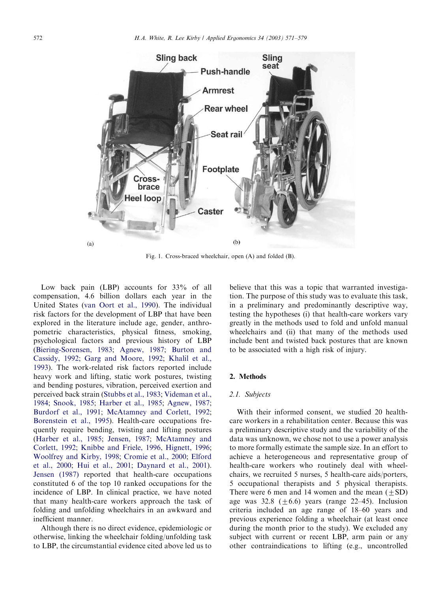<span id="page-1-0"></span>

Fig. 1. Cross-braced wheelchair, open (A) and folded (B).

Low back pain (LBP) accounts for 33% of all compensation, 4.6 billion dollars each year in the United States ([van Oort et al., 1990\)](#page--1-0). The individual risk factors for the development of LBP that have been explored in the literature include age, gender, anthropometric characteristics, physical fitness, smoking, psychological factors and previous history of LBP [\(Biering-Sorensen, 1983;](#page--1-0) [Agnew, 1987](#page--1-0); [Burton and](#page--1-0) [Cassidy, 1992;](#page--1-0) [Garg and Moore, 1992](#page--1-0); [Khalil et al.,](#page--1-0) [1993\)](#page--1-0). The work-related risk factors reported include heavy work and lifting, static work postures, twisting and bending postures, vibration, perceived exertion and perceived back strain [\(Stubbs et al., 1983;](#page--1-0) [Videman et al.,](#page--1-0) [1984;](#page--1-0) [Snook, 1985](#page--1-0); [Harber et al., 1985;](#page--1-0) [Agnew, 1987](#page--1-0); [Burdorf et al., 1991](#page--1-0); [McAtamney and Corlett, 1992](#page--1-0); [Borenstein et al., 1995\)](#page--1-0). Health-care occupations frequently require bending, twisting and lifting postures [\(Harber et al., 1985](#page--1-0); [Jensen, 1987;](#page--1-0) [McAtamney and](#page--1-0) [Corlett, 1992;](#page--1-0) [Knibbe and Friele, 1996](#page--1-0), [Hignett, 1996](#page--1-0); [Woolfrey and Kirby, 1998;](#page--1-0) [Cromie et al., 2000](#page--1-0); [Elford](#page--1-0) [et al., 2000;](#page--1-0) [Hui et al., 2001](#page--1-0); [Daynard et al., 2001\)](#page--1-0). [Jensen \(1987\)](#page--1-0) reported that health-care occupations constituted 6 of the top 10 ranked occupations for the incidence of LBP. In clinical practice, we have noted that many health-care workers approach the task of folding and unfolding wheelchairs in an awkward and inefficient manner.

Although there is no direct evidence, epidemiologic or otherwise, linking the wheelchair folding/unfolding task to LBP, the circumstantial evidence cited above led us to believe that this was a topic that warranted investigation. The purpose of this study was to evaluate this task, in a preliminary and predominantly descriptive way, testing the hypotheses (i) that health-care workers vary greatly in the methods used to fold and unfold manual wheelchairs and (ii) that many of the methods used include bent and twisted back postures that are known to be associated with a high risk of injury.

### 2. Methods

#### 2.1. Subjects

With their informed consent, we studied 20 healthcare workers in a rehabilitation center. Because this was a preliminary descriptive study and the variability of the data was unknown, we chose not to use a power analysis to more formally estimate the sample size. In an effort to achieve a heterogeneous and representative group of health-care workers who routinely deal with wheelchairs, we recruited 5 nurses, 5 health-care aids/porters, 5 occupational therapists and 5 physical therapists. There were 6 men and 14 women and the mean  $(\pm SD)$ age was 32.8  $(\pm 6.6)$  years (range 22–45). Inclusion criteria included an age range of 18–60 years and previous experience folding a wheelchair (at least once during the month prior to the study). We excluded any subject with current or recent LBP, arm pain or any other contraindications to lifting (e.g., uncontrolled